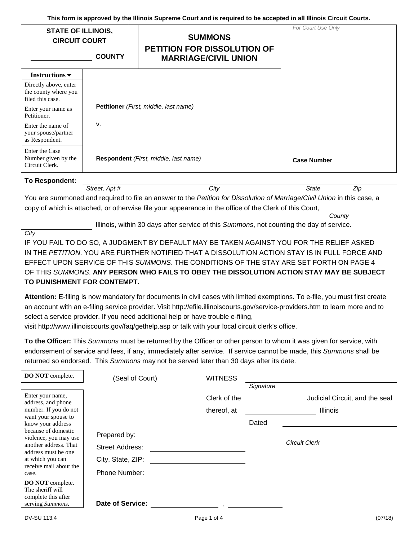**This form is approved by the Illinois Supreme Court and is required to be accepted in all Illinois Circuit Courts.**

| <b>STATE OF ILLINOIS,</b><br><b>CIRCUIT COURT</b><br><b>COUNTY</b> |    | <b>SUMMONS</b><br><b>PETITION FOR DISSOLUTION OF</b><br><b>MARRIAGE/CIVIL UNION</b> | For Court Use Only |
|--------------------------------------------------------------------|----|-------------------------------------------------------------------------------------|--------------------|
| Instructions $\blacktriangleright$                                 |    |                                                                                     |                    |
| Directly above, enter<br>the county where you<br>filed this case.  |    |                                                                                     |                    |
| Enter your name as<br>Petitioner.                                  |    | Petitioner (First, middle, last name)                                               |                    |
| Enter the name of<br>your spouse/partner<br>as Respondent.         | v. |                                                                                     |                    |
| Enter the Case<br>Number given by the<br>Circuit Clerk.            |    | Respondent (First, middle, last name)                                               | <b>Case Number</b> |

**To Respondent:** 

*Street, Apt # City State Zip*

You are summoned and required to file an answer to the *Petition for Dissolution of Marriage/Civil Union* in this case, a copy of which is attached, or otherwise file your appearance in the office of the Clerk of this Court,

*County*

Illinois, within 30 days after service of this *Summons*, not counting the day of service.

*City*

IF YOU FAIL TO DO SO, A JUDGMENT BY DEFAULT MAY BE TAKEN AGAINST YOU FOR THE RELIEF ASKED IN THE *PETITION*. YOU ARE FURTHER NOTIFIED THAT A DISSOLUTION ACTION STAY IS IN FULL FORCE AND EFFECT UPON SERVICE OF THIS *SUMMONS*. THE CONDITIONS OF THE STAY ARE SET FORTH ON PAGE 4 OF THIS *SUMMONS*. **ANY PERSON WHO FAILS TO OBEY THE DISSOLUTION ACTION STAY MAY BE SUBJECT TO PUNISHMENT FOR CONTEMPT.** 

**Attention:** E-filing is now mandatory for documents in civil cases with limited exemptions. To e-file, you must first create an account with an e-filing service provider. Visit http://efile.illinoiscourts.gov/service-providers.htm to learn more and to select a service provider. If you need additional help or have trouble e-filing,

visit http://www.illinoiscourts.gov/faq/gethelp.asp or talk with your local circuit clerk's office.

**To the Officer:** This *Summons* must be returned by the Officer or other person to whom it was given for service, with endorsement of service and fees, if any, immediately after service. If service cannot be made, this *Summons* shall be returned so endorsed. This *Summons* may not be served later than 30 days after its date.

| DO NOT complete.                                            | (Seal of Court)         | <b>WITNESS</b> |           |                                |
|-------------------------------------------------------------|-------------------------|----------------|-----------|--------------------------------|
|                                                             |                         |                | Signature |                                |
| Enter your name,<br>address, and phone                      |                         | Clerk of the   |           | Judicial Circuit, and the seal |
| number. If you do not                                       |                         | thereof, at    |           | <b>Illinois</b>                |
| want your spouse to<br>know your address                    |                         |                | Dated     |                                |
| because of domestic<br>violence, you may use                | Prepared by:            |                |           |                                |
| another address. That<br>address must be one                | <b>Street Address:</b>  |                |           | <b>Circuit Clerk</b>           |
| at which you can                                            | City, State, ZIP:       |                |           |                                |
| receive mail about the<br>case.                             | <b>Phone Number:</b>    |                |           |                                |
| DO NOT complete.<br>The sheriff will<br>complete this after |                         |                |           |                                |
| serving Summons.                                            | <b>Date of Service:</b> |                |           |                                |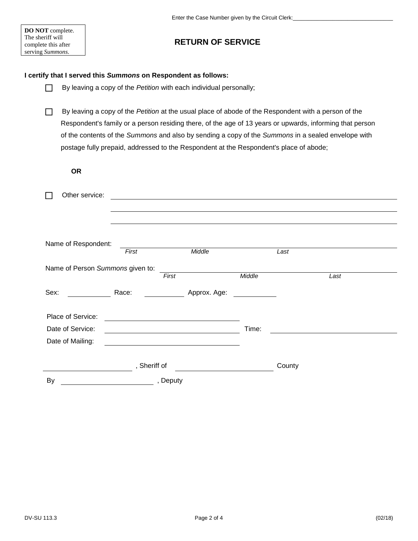#### **DO NOT** complete. The sheriff will complete this after serving *Summons*.

# **RETURN OF SERVICE**

### **I certify that I served this** *Summons* **on Respondent as follows:**

- By leaving a copy of the *Petition* with each individual personally;
- By leaving a copy of the *Petition* at the usual place of abode of the Respondent with a person of the Respondent's family or a person residing there, of the age of 13 years or upwards, informing that person of the contents of the *Summons* and also by sending a copy of the *Summons* in a sealed envelope with postage fully prepaid, addressed to the Respondent at the Respondent's place of abode;

**OR**

| Other service:                   |              |                                                   |        |        |      |
|----------------------------------|--------------|---------------------------------------------------|--------|--------|------|
|                                  |              |                                                   |        |        |      |
|                                  |              |                                                   |        |        |      |
|                                  |              |                                                   |        |        |      |
| Name of Respondent:              |              |                                                   |        |        |      |
|                                  | First        | Middle                                            |        | Last   |      |
| Name of Person Summons given to: |              |                                                   |        |        |      |
|                                  |              | First                                             | Middle |        | Last |
| Sex:<br><u>and a straight</u>    | Race:        | Approx. Age:                                      |        |        |      |
| Place of Service:                |              |                                                   |        |        |      |
| Date of Service:                 |              | <u> 1989 - Johann Barbara, martxa alemaniar a</u> | Time:  |        |      |
| Date of Mailing:                 |              |                                                   |        |        |      |
|                                  | , Sheriff of |                                                   |        | County |      |
| By                               | , Deputy     |                                                   |        |        |      |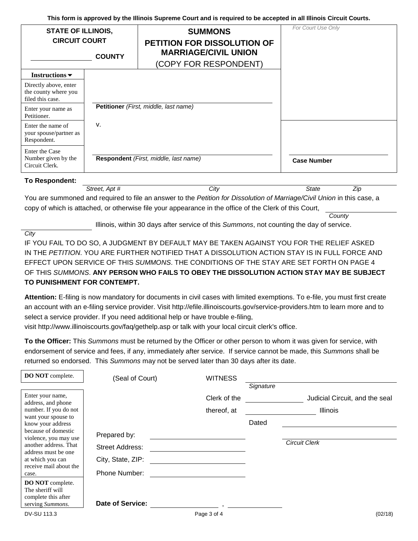**This form is approved by the Illinois Supreme Court and is required to be accepted in all Illinois Circuit Courts.**

| <b>STATE OF ILLINOIS,</b><br><b>CIRCUIT COURT</b>                 | <b>COUNTY</b> | <b>SUMMONS</b><br><b>PETITION FOR DISSOLUTION OF</b><br><b>MARRIAGE/CIVIL UNION</b><br>(COPY FOR RESPONDENT) | For Court Use Only |
|-------------------------------------------------------------------|---------------|--------------------------------------------------------------------------------------------------------------|--------------------|
| Instructions $\blacktriangleright$                                |               |                                                                                                              |                    |
| Directly above, enter<br>the county where you<br>filed this case. |               |                                                                                                              |                    |
| Enter your name as<br>Petitioner.                                 |               | Petitioner (First, middle, last name)                                                                        |                    |
| Enter the name of<br>your spouse/partner as<br>Respondent.        | v.            |                                                                                                              |                    |
| Enter the Case<br>Number given by the<br>Circuit Clerk.           |               | Respondent (First, middle, last name)                                                                        | <b>Case Number</b> |

| To Respondent: |  |
|----------------|--|
|----------------|--|

*Street, Apt # City State Zip*

You are summoned and required to file an answer to the *Petition for Dissolution of Marriage/Civil Union* in this case, a copy of which is attached, or otherwise file your appearance in the office of the Clerk of this Court,

*County*

Illinois, within 30 days after service of this *Summons*, not counting the day of service.

*City*

IF YOU FAIL TO DO SO, A JUDGMENT BY DEFAULT MAY BE TAKEN AGAINST YOU FOR THE RELIEF ASKED IN THE *PETITION*. YOU ARE FURTHER NOTIFIED THAT A DISSOLUTION ACTION STAY IS IN FULL FORCE AND EFFECT UPON SERVICE OF THIS *SUMMONS*. THE CONDITIONS OF THE STAY ARE SET FORTH ON PAGE 4 OF THIS *SUMMONS*. **ANY PERSON WHO FAILS TO OBEY THE DISSOLUTION ACTION STAY MAY BE SUBJECT TO PUNISHMENT FOR CONTEMPT.** 

**Attention:** E-filing is now mandatory for documents in civil cases with limited exemptions. To e-file, you must first create an account with an e-filing service provider. Visit http://efile.illinoiscourts.gov/service-providers.htm to learn more and to select a service provider. If you need additional help or have trouble e-filing,

visit http://www.illinoiscourts.gov/faq/gethelp.asp or talk with your local circuit clerk's office.

**To the Officer:** This *Summons* must be returned by the Officer or other person to whom it was given for service, with endorsement of service and fees, if any, immediately after service. If service cannot be made, this *Summons* shall be returned so endorsed. This *Summons* may not be served later than 30 days after its date.

| DO NOT complete.                                                                          | (Seal of Court)                             | <b>WITNESS</b> |           |                                |
|-------------------------------------------------------------------------------------------|---------------------------------------------|----------------|-----------|--------------------------------|
| Enter your name,<br>address, and phone                                                    |                                             | Clerk of the   | Signature | Judicial Circuit, and the seal |
| number. If you do not<br>want your spouse to<br>know your address<br>because of domestic  | Prepared by:                                | thereof, at    | Dated     | Illinois                       |
| violence, you may use<br>another address. That<br>address must be one<br>at which you can | <b>Street Address:</b><br>City, State, ZIP: |                |           | <b>Circuit Clerk</b>           |
| receive mail about the<br>case.<br>DO NOT complete.<br>The sheriff will                   | Phone Number:                               |                |           |                                |
| complete this after<br>serving Summons.<br>.                                              | <b>Date of Service:</b>                     |                |           |                                |